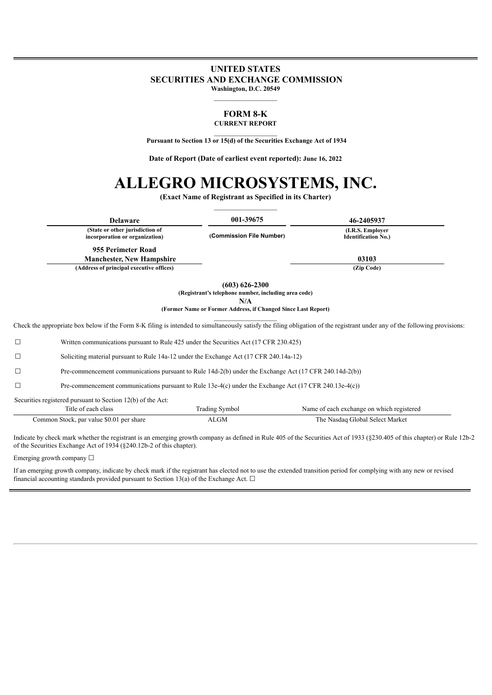# **UNITED STATES SECURITIES AND EXCHANGE COMMISSION Washington, D.C. 20549**

#### **FORM 8-K CURRENT REPORT**

 $\mathcal{L}_\text{max}$ **Pursuant to Section 13 or 15(d) of the Securities Exchange Act of 1934**

**Date of Report (Date of earliest event reported): June 16, 2022**

# **ALLEGRO MICROSYSTEMS, INC.**

**(Exact Name of Registrant as Specified in its Charter)**

| <b>Delaware</b>                                                   | 001-39675                | 46-2405937                                      |
|-------------------------------------------------------------------|--------------------------|-------------------------------------------------|
| (State or other jurisdiction of<br>incorporation or organization) | (Commission File Number) | (I.R.S. Employer)<br><b>Identification No.)</b> |
| 955 Perimeter Road                                                |                          |                                                 |
| <b>Manchester, New Hampshire</b>                                  |                          | 03103                                           |
| (Address of principal executive offices)                          |                          | (Zip Code)                                      |

**(603) 626-2300**

**(Registrant's telephone number, including area code)**

**N/A**

**(Former Name or Former Address, if Changed Since Last Report)**  $\frac{1}{2}$  ,  $\frac{1}{2}$  ,  $\frac{1}{2}$  ,  $\frac{1}{2}$  ,  $\frac{1}{2}$  ,  $\frac{1}{2}$  ,  $\frac{1}{2}$  ,  $\frac{1}{2}$ 

Check the appropriate box below if the Form 8-K filing is intended to simultaneously satisfy the filing obligation of the registrant under any of the following provisions:

| $\Box$ | Pre-commencement communications pursuant to Rule 14d-2(b) under the Exchange Act (17 CFR 240.14d-2(b))             |                       |                                           |  |
|--------|--------------------------------------------------------------------------------------------------------------------|-----------------------|-------------------------------------------|--|
| $\Box$ | Pre-commencement communications pursuant to Rule 13e-4(c) under the Exchange Act $(17 \text{ CFR } 240.13e$ -4(c)) |                       |                                           |  |
|        | Securities registered pursuant to Section 12(b) of the Act:                                                        |                       |                                           |  |
|        | Title of each class                                                                                                | <b>Trading Symbol</b> | Name of each exchange on which registered |  |
|        | Common Stock, par value \$0.01 per share                                                                           | ALGM                  | The Nasdaq Global Select Market           |  |

Indicate by check mark whether the registrant is an emerging growth company as defined in Rule 405 of the Securities Act of 1933 (§230.405 of this chapter) or Rule 12b-2 of the Securities Exchange Act of 1934 (§240.12b-2 of this chapter).

Emerging growth company  $\Box$ 

If an emerging growth company, indicate by check mark if the registrant has elected not to use the extended transition period for complying with any new or revised financial accounting standards provided pursuant to Section 13(a) of the Exchange Act.  $\Box$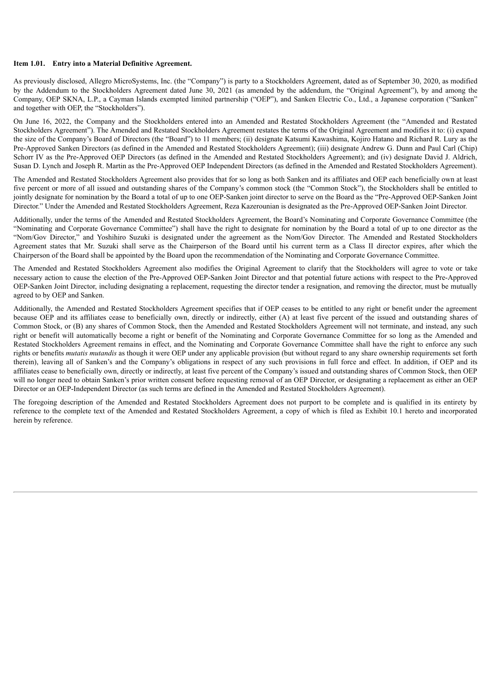#### **Item 1.01. Entry into a Material Definitive Agreement.**

As previously disclosed, Allegro MicroSystems, Inc. (the "Company") is party to a Stockholders Agreement, dated as of September 30, 2020, as modified by the Addendum to the Stockholders Agreement dated June 30, 2021 (as amended by the addendum, the "Original Agreement"), by and among the Company, OEP SKNA, L.P., a Cayman Islands exempted limited partnership ("OEP"), and Sanken Electric Co., Ltd., a Japanese corporation ("Sanken" and together with OEP, the "Stockholders").

On June 16, 2022, the Company and the Stockholders entered into an Amended and Restated Stockholders Agreement (the "Amended and Restated Stockholders Agreement"). The Amended and Restated Stockholders Agreement restates the terms of the Original Agreement and modifies it to: (i) expand the size of the Company's Board of Directors (the "Board") to 11 members; (ii) designate Katsumi Kawashima, Kojiro Hatano and Richard R. Lury as the Pre-Approved Sanken Directors (as defined in the Amended and Restated Stockholders Agreement); (iii) designate Andrew G. Dunn and Paul Carl (Chip) Schorr IV as the Pre-Approved OEP Directors (as defined in the Amended and Restated Stockholders Agreement); and (iv) designate David J. Aldrich, Susan D. Lynch and Joseph R. Martin as the Pre-Approved OEP Independent Directors (as defined in the Amended and Restated Stockholders Agreement).

The Amended and Restated Stockholders Agreement also provides that for so long as both Sanken and its affiliates and OEP each beneficially own at least five percent or more of all issued and outstanding shares of the Company's common stock (the "Common Stock"), the Stockholders shall be entitled to jointly designate for nomination by the Board a total of up to one OEP-Sanken joint director to serve on the Board as the "Pre-Approved OEP-Sanken Joint Director." Under the Amended and Restated Stockholders Agreement, Reza Kazerounian is designated as the Pre-Approved OEP-Sanken Joint Director.

Additionally, under the terms of the Amended and Restated Stockholders Agreement, the Board's Nominating and Corporate Governance Committee (the "Nominating and Corporate Governance Committee") shall have the right to designate for nomination by the Board a total of up to one director as the "Nom/Gov Director," and Yoshihiro Suzuki is designated under the agreement as the Nom/Gov Director. The Amended and Restated Stockholders Agreement states that Mr. Suzuki shall serve as the Chairperson of the Board until his current term as a Class II director expires, after which the Chairperson of the Board shall be appointed by the Board upon the recommendation of the Nominating and Corporate Governance Committee.

The Amended and Restated Stockholders Agreement also modifies the Original Agreement to clarify that the Stockholders will agree to vote or take necessary action to cause the election of the Pre-Approved OEP-Sanken Joint Director and that potential future actions with respect to the Pre-Approved OEP-Sanken Joint Director, including designating a replacement, requesting the director tender a resignation, and removing the director, must be mutually agreed to by OEP and Sanken.

Additionally, the Amended and Restated Stockholders Agreement specifies that if OEP ceases to be entitled to any right or benefit under the agreement because OEP and its affiliates cease to beneficially own, directly or indirectly, either (A) at least five percent of the issued and outstanding shares of Common Stock, or (B) any shares of Common Stock, then the Amended and Restated Stockholders Agreement will not terminate, and instead, any such right or benefit will automatically become a right or benefit of the Nominating and Corporate Governance Committee for so long as the Amended and Restated Stockholders Agreement remains in effect, and the Nominating and Corporate Governance Committee shall have the right to enforce any such rights or benefits *mutatis mutandis* as though it were OEP under any applicable provision (but without regard to any share ownership requirements set forth therein), leaving all of Sanken's and the Company's obligations in respect of any such provisions in full force and effect. In addition, if OEP and its affiliates cease to beneficially own, directly or indirectly, at least five percent of the Company's issued and outstanding shares of Common Stock, then OEP will no longer need to obtain Sanken's prior written consent before requesting removal of an OEP Director, or designating a replacement as either an OEP Director or an OEP-Independent Director (as such terms are defined in the Amended and Restated Stockholders Agreement).

The foregoing description of the Amended and Restated Stockholders Agreement does not purport to be complete and is qualified in its entirety by reference to the complete text of the Amended and Restated Stockholders Agreement, a copy of which is filed as Exhibit 10.1 hereto and incorporated herein by reference.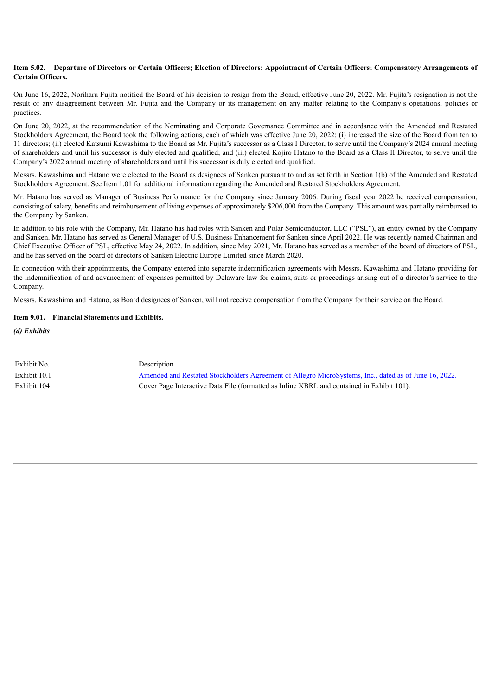#### Item 5.02. Departure of Directors or Certain Officers; Election of Directors; Appointment of Certain Officers; Compensatory Arrangements of **Certain Officers.**

On June 16, 2022, Noriharu Fujita notified the Board of his decision to resign from the Board, effective June 20, 2022. Mr. Fujita's resignation is not the result of any disagreement between Mr. Fujita and the Company or its management on any matter relating to the Company's operations, policies or practices.

On June 20, 2022, at the recommendation of the Nominating and Corporate Governance Committee and in accordance with the Amended and Restated Stockholders Agreement, the Board took the following actions, each of which was effective June 20, 2022: (i) increased the size of the Board from ten to 11 directors; (ii) elected Katsumi Kawashima to the Board as Mr. Fujita's successor as a Class I Director, to serve until the Company's 2024 annual meeting of shareholders and until his successor is duly elected and qualified; and (iii) elected Kojiro Hatano to the Board as a Class II Director, to serve until the Company's 2022 annual meeting of shareholders and until his successor is duly elected and qualified.

Messrs. Kawashima and Hatano were elected to the Board as designees of Sanken pursuant to and as set forth in Section 1(b) of the Amended and Restated Stockholders Agreement. See Item 1.01 for additional information regarding the Amended and Restated Stockholders Agreement.

Mr. Hatano has served as Manager of Business Performance for the Company since January 2006. During fiscal year 2022 he received compensation, consisting of salary, benefits and reimbursement of living expenses of approximately \$206,000 from the Company. This amount was partially reimbursed to the Company by Sanken.

In addition to his role with the Company, Mr. Hatano has had roles with Sanken and Polar Semiconductor, LLC ("PSL"), an entity owned by the Company and Sanken. Mr. Hatano has served as General Manager of U.S. Business Enhancement for Sanken since April 2022. He was recently named Chairman and Chief Executive Officer of PSL, effective May 24, 2022. In addition, since May 2021, Mr. Hatano has served as a member of the board of directors of PSL, and he has served on the board of directors of Sanken Electric Europe Limited since March 2020.

In connection with their appointments, the Company entered into separate indemnification agreements with Messrs. Kawashima and Hatano providing for the indemnification of and advancement of expenses permitted by Delaware law for claims, suits or proceedings arising out of a director's service to the Company.

Messrs. Kawashima and Hatano, as Board designees of Sanken, will not receive compensation from the Company for their service on the Board.

# **Item 9.01. Financial Statements and Exhibits.**

*(d) Exhibits*

| Exhibit No.  | Description                                                                                                  |
|--------------|--------------------------------------------------------------------------------------------------------------|
| Exhibit 10.1 | <u>Amended and Restated Stockholders Agreement of Allegro MicroSystems, Inc., dated as of June 16, 2022.</u> |
| Exhibit 104  | Cover Page Interactive Data File (formatted as Inline XBRL and contained in Exhibit 101).                    |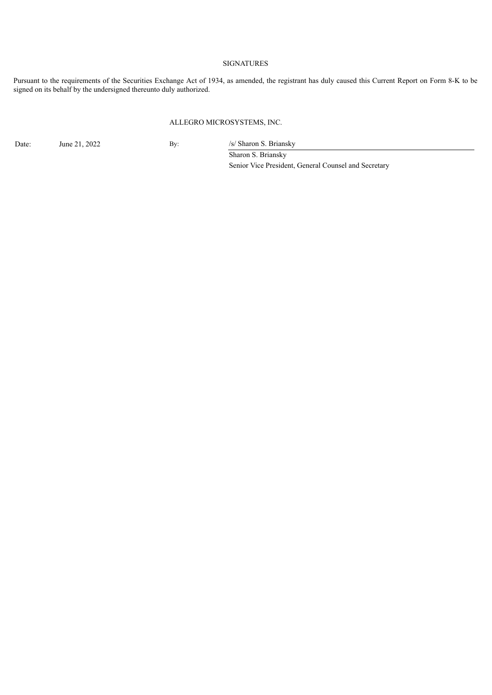# SIGNATURES

Pursuant to the requirements of the Securities Exchange Act of 1934, as amended, the registrant has duly caused this Current Report on Form 8-K to be signed on its behalf by the undersigned thereunto duly authorized.

# ALLEGRO MICROSYSTEMS, INC.

Date: June 21, 2022 By: /s/ Sharon S. Briansky

Sharon S. Briansky Senior Vice President, General Counsel and Secretary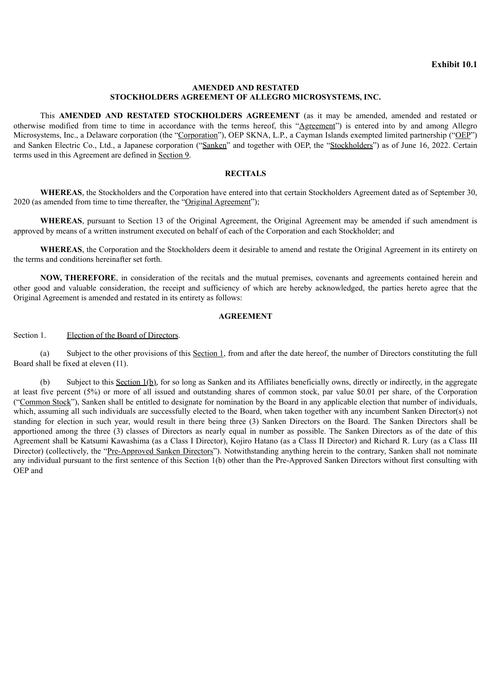# **AMENDED AND RESTATED STOCKHOLDERS AGREEMENT OF ALLEGRO MICROSYSTEMS, INC.**

<span id="page-4-0"></span>This **AMENDED AND RESTATED STOCKHOLDERS AGREEMENT** (as it may be amended, amended and restated or otherwise modified from time to time in accordance with the terms hereof, this "Agreement") is entered into by and among Allegro Microsystems, Inc., a Delaware corporation (the "Corporation"), OEP SKNA, L.P., a Cayman Islands exempted limited partnership ("OEP") and Sanken Electric Co., Ltd., a Japanese corporation ("Sanken" and together with OEP, the "Stockholders") as of June 16, 2022. Certain terms used in this Agreement are defined in Section 9.

# **RECITALS**

**WHEREAS**, the Stockholders and the Corporation have entered into that certain Stockholders Agreement dated as of September 30, 2020 (as amended from time to time thereafter, the "Original Agreement");

**WHEREAS**, pursuant to Section 13 of the Original Agreement, the Original Agreement may be amended if such amendment is approved by means of a written instrument executed on behalf of each of the Corporation and each Stockholder; and

**WHEREAS**, the Corporation and the Stockholders deem it desirable to amend and restate the Original Agreement in its entirety on the terms and conditions hereinafter set forth.

**NOW, THEREFORE**, in consideration of the recitals and the mutual premises, covenants and agreements contained herein and other good and valuable consideration, the receipt and sufficiency of which are hereby acknowledged, the parties hereto agree that the Original Agreement is amended and restated in its entirety as follows:

# **AGREEMENT**

Section 1. Election of the Board of Directors.

(a) Subject to the other provisions of this Section 1, from and after the date hereof, the number of Directors constituting the full Board shall be fixed at eleven (11).

(b) Subject to this Section 1(b), for so long as Sanken and its Affiliates beneficially owns, directly or indirectly, in the aggregate at least five percent (5%) or more of all issued and outstanding shares of common stock, par value \$0.01 per share, of the Corporation ("Common Stock"), Sanken shall be entitled to designate for nomination by the Board in any applicable election that number of individuals, which, assuming all such individuals are successfully elected to the Board, when taken together with any incumbent Sanken Director(s) not standing for election in such year, would result in there being three (3) Sanken Directors on the Board. The Sanken Directors shall be apportioned among the three (3) classes of Directors as nearly equal in number as possible. The Sanken Directors as of the date of this Agreement shall be Katsumi Kawashima (as a Class I Director), Kojiro Hatano (as a Class II Director) and Richard R. Lury (as a Class III Director) (collectively, the "Pre-Approved Sanken Directors"). Notwithstanding anything herein to the contrary, Sanken shall not nominate any individual pursuant to the first sentence of this Section 1(b) other than the Pre-Approved Sanken Directors without first consulting with OEP and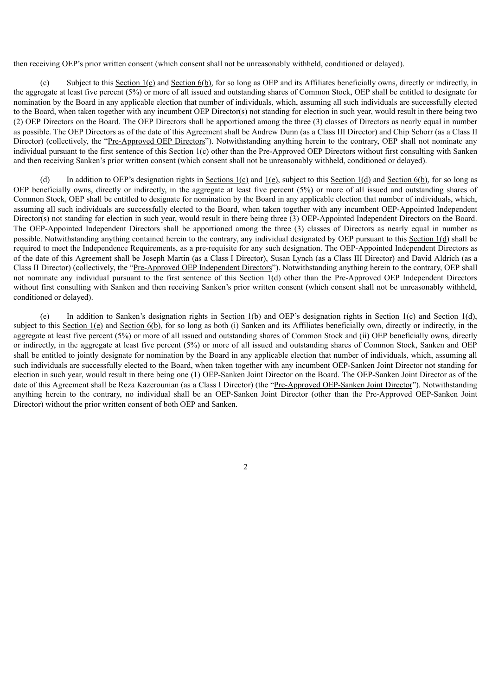then receiving OEP's prior written consent (which consent shall not be unreasonably withheld, conditioned or delayed).

(c) Subject to this Section 1(c) and Section 6(b), for so long as OEP and its Affiliates beneficially owns, directly or indirectly, in the aggregate at least five percent (5%) or more of all issued and outstanding shares of Common Stock, OEP shall be entitled to designate for nomination by the Board in any applicable election that number of individuals, which, assuming all such individuals are successfully elected to the Board, when taken together with any incumbent OEP Director(s) not standing for election in such year, would result in there being two (2) OEP Directors on the Board. The OEP Directors shall be apportioned among the three (3) classes of Directors as nearly equal in number as possible. The OEP Directors as of the date of this Agreement shall be Andrew Dunn (as a Class III Director) and Chip Schorr (as a Class II Director) (collectively, the "Pre-Approved OEP Directors"). Notwithstanding anything herein to the contrary, OEP shall not nominate any individual pursuant to the first sentence of this Section 1(c) other than the Pre-Approved OEP Directors without first consulting with Sanken and then receiving Sanken's prior written consent (which consent shall not be unreasonably withheld, conditioned or delayed).

(d) In addition to OEP's designation rights in Sections  $1(\underline{c})$  and  $1(\underline{e})$ , subject to this Section  $1(\underline{d})$  and Section  $6(\underline{b})$ , for so long as OEP beneficially owns, directly or indirectly, in the aggregate at least five percent (5%) or more of all issued and outstanding shares of Common Stock, OEP shall be entitled to designate for nomination by the Board in any applicable election that number of individuals, which, assuming all such individuals are successfully elected to the Board, when taken together with any incumbent OEP-Appointed Independent Director(s) not standing for election in such year, would result in there being three (3) OEP-Appointed Independent Directors on the Board. The OEP-Appointed Independent Directors shall be apportioned among the three (3) classes of Directors as nearly equal in number as possible. Notwithstanding anything contained herein to the contrary, any individual designated by OEP pursuant to this Section 1(d) shall be required to meet the Independence Requirements, as a pre-requisite for any such designation. The OEP-Appointed Independent Directors as of the date of this Agreement shall be Joseph Martin (as a Class I Director), Susan Lynch (as a Class III Director) and David Aldrich (as a Class II Director) (collectively, the "Pre-Approved OEP Independent Directors"). Notwithstanding anything herein to the contrary, OEP shall not nominate any individual pursuant to the first sentence of this Section 1(d) other than the Pre-Approved OEP Independent Directors without first consulting with Sanken and then receiving Sanken's prior written consent (which consent shall not be unreasonably withheld, conditioned or delayed).

(e) In addition to Sanken's designation rights in Section  $1(b)$  and OEP's designation rights in Section  $1(c)$  and Section  $1(d)$ , subject to this Section  $1(e)$  and Section  $6(b)$ , for so long as both (i) Sanken and its Affiliates beneficially own, directly or indirectly, in the aggregate at least five percent (5%) or more of all issued and outstanding shares of Common Stock and (ii) OEP beneficially owns, directly or indirectly, in the aggregate at least five percent (5%) or more of all issued and outstanding shares of Common Stock, Sanken and OEP shall be entitled to jointly designate for nomination by the Board in any applicable election that number of individuals, which, assuming all such individuals are successfully elected to the Board, when taken together with any incumbent OEP-Sanken Joint Director not standing for election in such year, would result in there being one (1) OEP-Sanken Joint Director on the Board. The OEP-Sanken Joint Director as of the date of this Agreement shall be Reza Kazerounian (as a Class I Director) (the "Pre-Approved OEP-Sanken Joint Director"). Notwithstanding anything herein to the contrary, no individual shall be an OEP-Sanken Joint Director (other than the Pre-Approved OEP-Sanken Joint Director) without the prior written consent of both OEP and Sanken.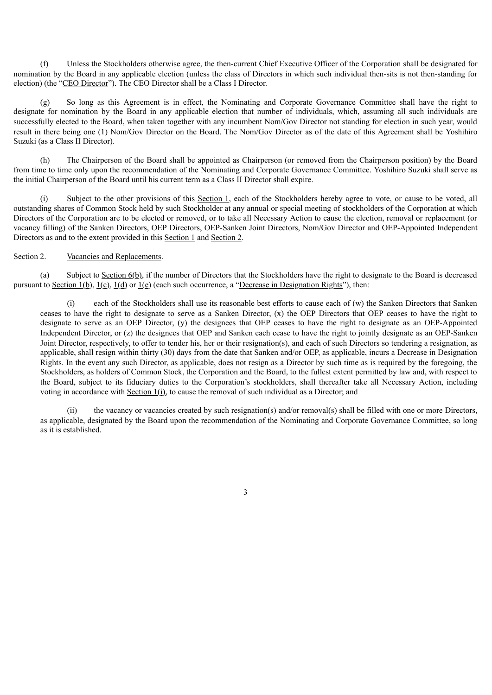(f) Unless the Stockholders otherwise agree, the then-current Chief Executive Officer of the Corporation shall be designated for nomination by the Board in any applicable election (unless the class of Directors in which such individual then-sits is not then-standing for election) (the "CEO Director"). The CEO Director shall be a Class I Director.

(g) So long as this Agreement is in effect, the Nominating and Corporate Governance Committee shall have the right to designate for nomination by the Board in any applicable election that number of individuals, which, assuming all such individuals are successfully elected to the Board, when taken together with any incumbent Nom/Gov Director not standing for election in such year, would result in there being one (1) Nom/Gov Director on the Board. The Nom/Gov Director as of the date of this Agreement shall be Yoshihiro Suzuki (as a Class II Director).

(h) The Chairperson of the Board shall be appointed as Chairperson (or removed from the Chairperson position) by the Board from time to time only upon the recommendation of the Nominating and Corporate Governance Committee. Yoshihiro Suzuki shall serve as the initial Chairperson of the Board until his current term as a Class II Director shall expire.

(i) Subject to the other provisions of this Section 1, each of the Stockholders hereby agree to vote, or cause to be voted, all outstanding shares of Common Stock held by such Stockholder at any annual or special meeting of stockholders of the Corporation at which Directors of the Corporation are to be elected or removed, or to take all Necessary Action to cause the election, removal or replacement (or vacancy filling) of the Sanken Directors, OEP Directors, OEP-Sanken Joint Directors, Nom/Gov Director and OEP-Appointed Independent Directors as and to the extent provided in this Section 1 and Section 2.

# Section 2. Vacancies and Replacements.

(a) Subject to Section  $6(b)$ , if the number of Directors that the Stockholders have the right to designate to the Board is decreased pursuant to Section 1(b),  $1(c)$ ,  $1(d)$  or  $1(e)$  (each such occurrence, a "Decrease in Designation Rights"), then:

(i) each of the Stockholders shall use its reasonable best efforts to cause each of (w) the Sanken Directors that Sanken ceases to have the right to designate to serve as a Sanken Director, (x) the OEP Directors that OEP ceases to have the right to designate to serve as an OEP Director, (y) the designees that OEP ceases to have the right to designate as an OEP-Appointed Independent Director, or (z) the designees that OEP and Sanken each cease to have the right to jointly designate as an OEP-Sanken Joint Director, respectively, to offer to tender his, her or their resignation(s), and each of such Directors so tendering a resignation, as applicable, shall resign within thirty (30) days from the date that Sanken and/or OEP, as applicable, incurs a Decrease in Designation Rights. In the event any such Director, as applicable, does not resign as a Director by such time as is required by the foregoing, the Stockholders, as holders of Common Stock, the Corporation and the Board, to the fullest extent permitted by law and, with respect to the Board, subject to its fiduciary duties to the Corporation's stockholders, shall thereafter take all Necessary Action, including voting in accordance with Section 1(i), to cause the removal of such individual as a Director; and

(ii) the vacancy or vacancies created by such resignation(s) and/or removal(s) shall be filled with one or more Directors, as applicable, designated by the Board upon the recommendation of the Nominating and Corporate Governance Committee, so long as it is established.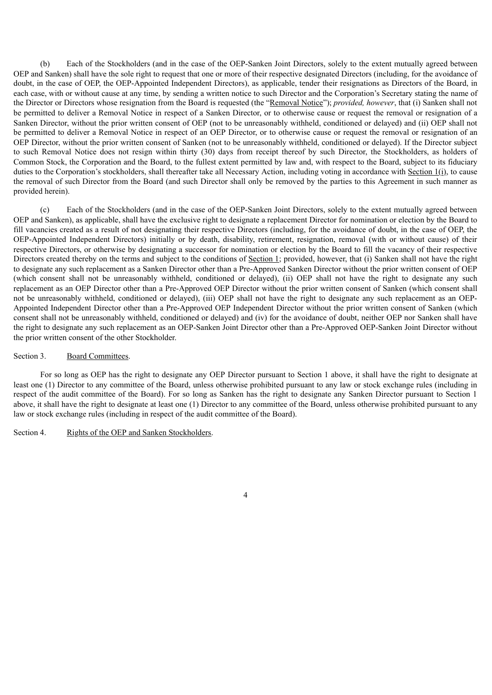(b) Each of the Stockholders (and in the case of the OEP-Sanken Joint Directors, solely to the extent mutually agreed between OEP and Sanken) shall have the sole right to request that one or more of their respective designated Directors (including, for the avoidance of doubt, in the case of OEP, the OEP-Appointed Independent Directors), as applicable, tender their resignations as Directors of the Board, in each case, with or without cause at any time, by sending a written notice to such Director and the Corporation's Secretary stating the name of the Director or Directors whose resignation from the Board is requested (the "Removal Notice"); *provided, however*, that (i) Sanken shall not be permitted to deliver a Removal Notice in respect of a Sanken Director, or to otherwise cause or request the removal or resignation of a Sanken Director, without the prior written consent of OEP (not to be unreasonably withheld, conditioned or delayed) and (ii) OEP shall not be permitted to deliver a Removal Notice in respect of an OEP Director, or to otherwise cause or request the removal or resignation of an OEP Director, without the prior written consent of Sanken (not to be unreasonably withheld, conditioned or delayed). If the Director subject to such Removal Notice does not resign within thirty (30) days from receipt thereof by such Director, the Stockholders, as holders of Common Stock, the Corporation and the Board, to the fullest extent permitted by law and, with respect to the Board, subject to its fiduciary duties to the Corporation's stockholders, shall thereafter take all Necessary Action, including voting in accordance with Section 1(i), to cause the removal of such Director from the Board (and such Director shall only be removed by the parties to this Agreement in such manner as provided herein).

(c) Each of the Stockholders (and in the case of the OEP-Sanken Joint Directors, solely to the extent mutually agreed between OEP and Sanken), as applicable, shall have the exclusive right to designate a replacement Director for nomination or election by the Board to fill vacancies created as a result of not designating their respective Directors (including, for the avoidance of doubt, in the case of OEP, the OEP-Appointed Independent Directors) initially or by death, disability, retirement, resignation, removal (with or without cause) of their respective Directors, or otherwise by designating a successor for nomination or election by the Board to fill the vacancy of their respective Directors created thereby on the terms and subject to the conditions of Section 1; provided, however, that (i) Sanken shall not have the right to designate any such replacement as a Sanken Director other than a Pre-Approved Sanken Director without the prior written consent of OEP (which consent shall not be unreasonably withheld, conditioned or delayed), (ii) OEP shall not have the right to designate any such replacement as an OEP Director other than a Pre-Approved OEP Director without the prior written consent of Sanken (which consent shall not be unreasonably withheld, conditioned or delayed), (iii) OEP shall not have the right to designate any such replacement as an OEP-Appointed Independent Director other than a Pre-Approved OEP Independent Director without the prior written consent of Sanken (which consent shall not be unreasonably withheld, conditioned or delayed) and (iv) for the avoidance of doubt, neither OEP nor Sanken shall have the right to designate any such replacement as an OEP-Sanken Joint Director other than a Pre-Approved OEP-Sanken Joint Director without the prior written consent of the other Stockholder.

#### Section 3. Board Committees.

For so long as OEP has the right to designate any OEP Director pursuant to Section 1 above, it shall have the right to designate at least one (1) Director to any committee of the Board, unless otherwise prohibited pursuant to any law or stock exchange rules (including in respect of the audit committee of the Board). For so long as Sanken has the right to designate any Sanken Director pursuant to Section 1 above, it shall have the right to designate at least one (1) Director to any committee of the Board, unless otherwise prohibited pursuant to any law or stock exchange rules (including in respect of the audit committee of the Board).

# Section 4. Rights of the OEP and Sanken Stockholders.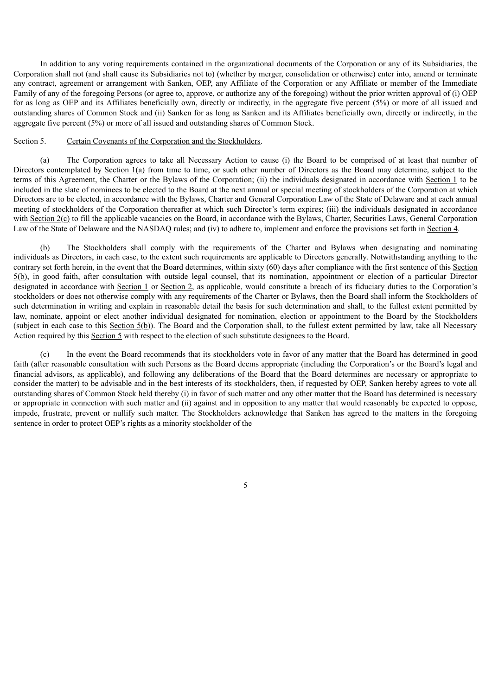In addition to any voting requirements contained in the organizational documents of the Corporation or any of its Subsidiaries, the Corporation shall not (and shall cause its Subsidiaries not to) (whether by merger, consolidation or otherwise) enter into, amend or terminate any contract, agreement or arrangement with Sanken, OEP, any Affiliate of the Corporation or any Affiliate or member of the Immediate Family of any of the foregoing Persons (or agree to, approve, or authorize any of the foregoing) without the prior written approval of (i) OEP for as long as OEP and its Affiliates beneficially own, directly or indirectly, in the aggregate five percent (5%) or more of all issued and outstanding shares of Common Stock and (ii) Sanken for as long as Sanken and its Affiliates beneficially own, directly or indirectly, in the aggregate five percent (5%) or more of all issued and outstanding shares of Common Stock.

### Section 5. Certain Covenants of the Corporation and the Stockholders.

(a) The Corporation agrees to take all Necessary Action to cause (i) the Board to be comprised of at least that number of Directors contemplated by Section 1(a) from time to time, or such other number of Directors as the Board may determine, subject to the terms of this Agreement, the Charter or the Bylaws of the Corporation; (ii) the individuals designated in accordance with Section 1 to be included in the slate of nominees to be elected to the Board at the next annual or special meeting of stockholders of the Corporation at which Directors are to be elected, in accordance with the Bylaws, Charter and General Corporation Law of the State of Delaware and at each annual meeting of stockholders of the Corporation thereafter at which such Director's term expires; (iii) the individuals designated in accordance with  $Section 2(c)$  to fill the applicable vacancies on the Board, in accordance with the Bylaws, Charter, Securities Laws, General Corporation Law of the State of Delaware and the NASDAQ rules; and (iv) to adhere to, implement and enforce the provisions set forth in Section 4.

(b) The Stockholders shall comply with the requirements of the Charter and Bylaws when designating and nominating individuals as Directors, in each case, to the extent such requirements are applicable to Directors generally. Notwithstanding anything to the contrary set forth herein, in the event that the Board determines, within sixty (60) days after compliance with the first sentence of this Section 5(b), in good faith, after consultation with outside legal counsel, that its nomination, appointment or election of a particular Director designated in accordance with Section 1 or Section 2, as applicable, would constitute a breach of its fiduciary duties to the Corporation's stockholders or does not otherwise comply with any requirements of the Charter or Bylaws, then the Board shall inform the Stockholders of such determination in writing and explain in reasonable detail the basis for such determination and shall, to the fullest extent permitted by law, nominate, appoint or elect another individual designated for nomination, election or appointment to the Board by the Stockholders (subject in each case to this Section  $5(b)$ ). The Board and the Corporation shall, to the fullest extent permitted by law, take all Necessary Action required by this Section 5 with respect to the election of such substitute designees to the Board.

(c) In the event the Board recommends that its stockholders vote in favor of any matter that the Board has determined in good faith (after reasonable consultation with such Persons as the Board deems appropriate (including the Corporation's or the Board's legal and financial advisors, as applicable), and following any deliberations of the Board that the Board determines are necessary or appropriate to consider the matter) to be advisable and in the best interests of its stockholders, then, if requested by OEP, Sanken hereby agrees to vote all outstanding shares of Common Stock held thereby (i) in favor of such matter and any other matter that the Board has determined is necessary or appropriate in connection with such matter and (ii) against and in opposition to any matter that would reasonably be expected to oppose, impede, frustrate, prevent or nullify such matter. The Stockholders acknowledge that Sanken has agreed to the matters in the foregoing sentence in order to protect OEP's rights as a minority stockholder of the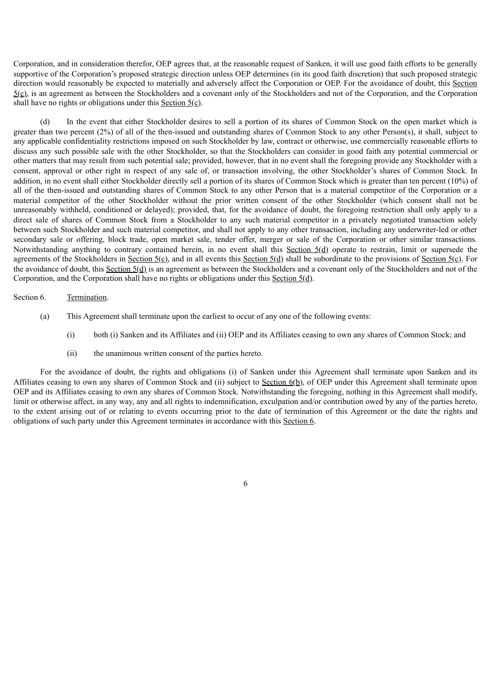Corporation, and in consideration therefor, OEP agrees that, at the reasonable request of Sanken, it will use good faith efforts to be generally supportive of the Corporation's proposed strategic direction unless OEP determines (in its good faith discretion) that such proposed strategic direction would reasonably be expected to materially and adversely affect the Corporation or OEP. For the avoidance of doubt, this Section  $5(0)$ , is an agreement as between the Stockholders and a covenant only of the Stockholders and not of the Corporation, and the Corporation shall have no rights or obligations under this Section  $5(\text{c})$ .

(d) In the event that either Stockholder desires to sell a portion of its shares of Common Stock on the open market which is greater than two percent (2%) of all of the then-issued and outstanding shares of Common Stock to any other Person(s), it shall, subject to any applicable confidentiality restrictions imposed on such Stockholder by law, contract or otherwise, use commercially reasonable efforts to discuss any such possible sale with the other Stockholder, so that the Stockholders can consider in good faith any potential commercial or other matters that may result from such potential sale; provided, however, that in no event shall the foregoing provide any Stockholder with a consent, approval or other right in respect of any sale of, or transaction involving, the other Stockholder's shares of Common Stock. In addition, in no event shall either Stockholder directly sell a portion of its shares of Common Stock which is greater than ten percent (10%) of all of the then-issued and outstanding shares of Common Stock to any other Person that is a material competitor of the Corporation or a material competitor of the other Stockholder without the prior written consent of the other Stockholder (which consent shall not be unreasonably withheld, conditioned or delayed); provided, that, for the avoidance of doubt, the foregoing restriction shall only apply to a direct sale of shares of Common Stock from a Stockholder to any such material competitor in a privately negotiated transaction solely between such Stockholder and such material competitor, and shall not apply to any other transaction, including any underwriter-led or other secondary sale or offering, block trade, open market sale, tender offer, merger or sale of the Corporation or other similar transactions. Notwithstanding anything to contrary contained herein, in no event shall this Section 5(d) operate to restrain, limit or supersede the agreements of the Stockholders in Section 5(c), and in all events this Section 5(d) shall be subordinate to the provisions of Section 5(c). For the avoidance of doubt, this Section 5(d) is an agreement as between the Stockholders and a covenant only of the Stockholders and not of the Corporation, and the Corporation shall have no rights or obligations under this Section 5(d).

#### Section 6. Termination.

- (a) This Agreement shall terminate upon the earliest to occur of any one of the following events:
	- (i) both (i) Sanken and its Affiliates and (ii) OEP and its Affiliates ceasing to own any shares of Common Stock; and
	- (ii) the unanimous written consent of the parties hereto.

For the avoidance of doubt, the rights and obligations (i) of Sanken under this Agreement shall terminate upon Sanken and its Affiliates ceasing to own any shares of Common Stock and (ii) subject to Section 6(b), of OEP under this Agreement shall terminate upon OEP and its Affiliates ceasing to own any shares of Common Stock. Notwithstanding the foregoing, nothing in this Agreement shall modify, limit or otherwise affect, in any way, any and all rights to indemnification, exculpation and/or contribution owed by any of the parties hereto, to the extent arising out of or relating to events occurring prior to the date of termination of this Agreement or the date the rights and obligations of such party under this Agreement terminates in accordance with this Section 6.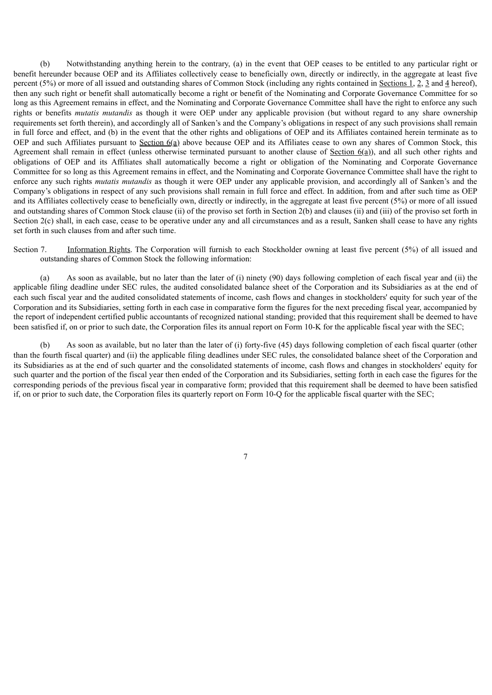(b) Notwithstanding anything herein to the contrary, (a) in the event that OEP ceases to be entitled to any particular right or benefit hereunder because OEP and its Affiliates collectively cease to beneficially own, directly or indirectly, in the aggregate at least five percent (5%) or more of all issued and outstanding shares of Common Stock (including any rights contained in Sections 1, 2, 3 and 4 hereof), then any such right or benefit shall automatically become a right or benefit of the Nominating and Corporate Governance Committee for so long as this Agreement remains in effect, and the Nominating and Corporate Governance Committee shall have the right to enforce any such rights or benefits *mutatis mutandis* as though it were OEP under any applicable provision (but without regard to any share ownership requirements set forth therein), and accordingly all of Sanken's and the Company's obligations in respect of any such provisions shall remain in full force and effect, and (b) in the event that the other rights and obligations of OEP and its Affiliates contained herein terminate as to OEP and such Affiliates pursuant to Section 6(a) above because OEP and its Affiliates cease to own any shares of Common Stock, this Agreement shall remain in effect (unless otherwise terminated pursuant to another clause of Section 6(a)), and all such other rights and obligations of OEP and its Affiliates shall automatically become a right or obligation of the Nominating and Corporate Governance Committee for so long as this Agreement remains in effect, and the Nominating and Corporate Governance Committee shall have the right to enforce any such rights *mutatis mutandis* as though it were OEP under any applicable provision, and accordingly all of Sanken's and the Company's obligations in respect of any such provisions shall remain in full force and effect. In addition, from and after such time as OEP and its Affiliates collectively cease to beneficially own, directly or indirectly, in the aggregate at least five percent (5%) or more of all issued and outstanding shares of Common Stock clause (ii) of the proviso set forth in Section 2(b) and clauses (ii) and (iii) of the proviso set forth in Section 2(c) shall, in each case, cease to be operative under any and all circumstances and as a result. Sanken shall cease to have any rights set forth in such clauses from and after such time.

# Section 7. Information Rights. The Corporation will furnish to each Stockholder owning at least five percent (5%) of all issued and outstanding shares of Common Stock the following information:

(a) As soon as available, but no later than the later of (i) ninety (90) days following completion of each fiscal year and (ii) the applicable filing deadline under SEC rules, the audited consolidated balance sheet of the Corporation and its Subsidiaries as at the end of each such fiscal year and the audited consolidated statements of income, cash flows and changes in stockholders' equity for such year of the Corporation and its Subsidiaries, setting forth in each case in comparative form the figures for the next preceding fiscal year, accompanied by the report of independent certified public accountants of recognized national standing; provided that this requirement shall be deemed to have been satisfied if, on or prior to such date, the Corporation files its annual report on Form 10-K for the applicable fiscal year with the SEC;

As soon as available, but no later than the later of (i) forty-five (45) days following completion of each fiscal quarter (other than the fourth fiscal quarter) and (ii) the applicable filing deadlines under SEC rules, the consolidated balance sheet of the Corporation and its Subsidiaries as at the end of such quarter and the consolidated statements of income, cash flows and changes in stockholders' equity for such quarter and the portion of the fiscal year then ended of the Corporation and its Subsidiaries, setting forth in each case the figures for the corresponding periods of the previous fiscal year in comparative form; provided that this requirement shall be deemed to have been satisfied if, on or prior to such date, the Corporation files its quarterly report on Form 10-Q for the applicable fiscal quarter with the SEC;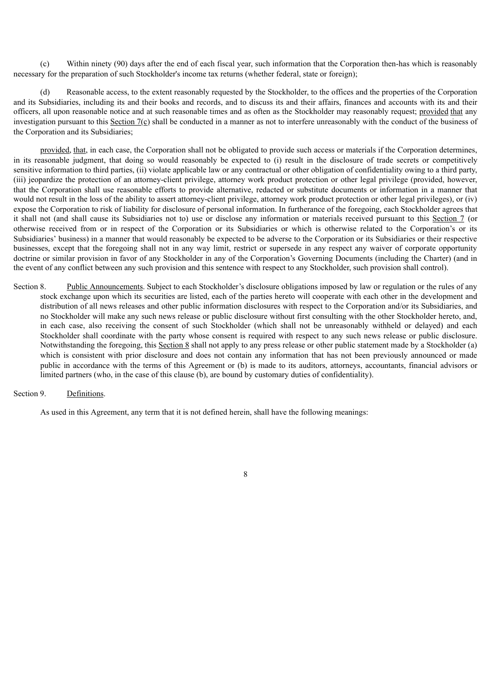(c) Within ninety (90) days after the end of each fiscal year, such information that the Corporation then-has which is reasonably necessary for the preparation of such Stockholder's income tax returns (whether federal, state or foreign);

(d) Reasonable access, to the extent reasonably requested by the Stockholder, to the offices and the properties of the Corporation and its Subsidiaries, including its and their books and records, and to discuss its and their affairs, finances and accounts with its and their officers, all upon reasonable notice and at such reasonable times and as often as the Stockholder may reasonably request; provided that any investigation pursuant to this Section  $7(c)$  shall be conducted in a manner as not to interfere unreasonably with the conduct of the business of the Corporation and its Subsidiaries;

provided, that, in each case, the Corporation shall not be obligated to provide such access or materials if the Corporation determines, in its reasonable judgment, that doing so would reasonably be expected to (i) result in the disclosure of trade secrets or competitively sensitive information to third parties, (ii) violate applicable law or any contractual or other obligation of confidentiality owing to a third party, (iii) jeopardize the protection of an attorney-client privilege, attorney work product protection or other legal privilege (provided, however, that the Corporation shall use reasonable efforts to provide alternative, redacted or substitute documents or information in a manner that would not result in the loss of the ability to assert attorney-client privilege, attorney work product protection or other legal privileges), or (iv) expose the Corporation to risk of liability for disclosure of personal information. In furtherance of the foregoing, each Stockholder agrees that it shall not (and shall cause its Subsidiaries not to) use or disclose any information or materials received pursuant to this Section 7 (or otherwise received from or in respect of the Corporation or its Subsidiaries or which is otherwise related to the Corporation's or its Subsidiaries' business) in a manner that would reasonably be expected to be adverse to the Corporation or its Subsidiaries or their respective businesses, except that the foregoing shall not in any way limit, restrict or supersede in any respect any waiver of corporate opportunity doctrine or similar provision in favor of any Stockholder in any of the Corporation's Governing Documents (including the Charter) (and in the event of any conflict between any such provision and this sentence with respect to any Stockholder, such provision shall control).

Section 8. Public Announcements. Subject to each Stockholder's disclosure obligations imposed by law or regulation or the rules of any stock exchange upon which its securities are listed, each of the parties hereto will cooperate with each other in the development and distribution of all news releases and other public information disclosures with respect to the Corporation and/or its Subsidiaries, and no Stockholder will make any such news release or public disclosure without first consulting with the other Stockholder hereto, and, in each case, also receiving the consent of such Stockholder (which shall not be unreasonably withheld or delayed) and each Stockholder shall coordinate with the party whose consent is required with respect to any such news release or public disclosure. Notwithstanding the foregoing, this Section 8 shall not apply to any press release or other public statement made by a Stockholder (a) which is consistent with prior disclosure and does not contain any information that has not been previously announced or made public in accordance with the terms of this Agreement or (b) is made to its auditors, attorneys, accountants, financial advisors or limited partners (who, in the case of this clause (b), are bound by customary duties of confidentiality).

# Section 9. Definitions.

As used in this Agreement, any term that it is not defined herein, shall have the following meanings: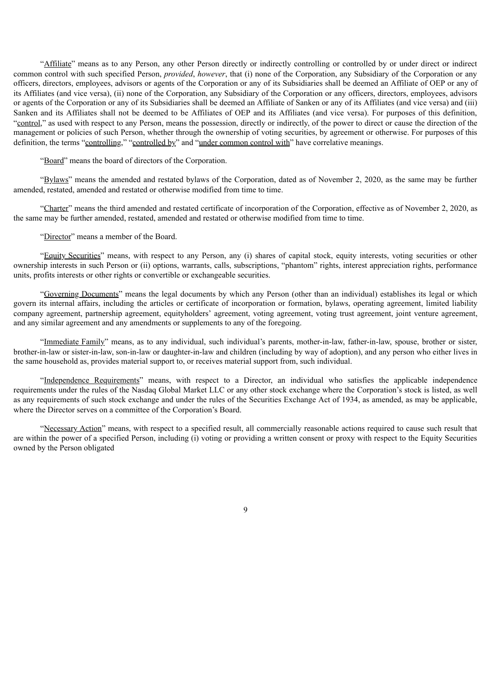"Affiliate" means as to any Person, any other Person directly or indirectly controlling or controlled by or under direct or indirect common control with such specified Person, *provided*, *however*, that (i) none of the Corporation, any Subsidiary of the Corporation or any officers, directors, employees, advisors or agents of the Corporation or any of its Subsidiaries shall be deemed an Affiliate of OEP or any of its Affiliates (and vice versa), (ii) none of the Corporation, any Subsidiary of the Corporation or any officers, directors, employees, advisors or agents of the Corporation or any of its Subsidiaries shall be deemed an Affiliate of Sanken or any of its Affiliates (and vice versa) and (iii) Sanken and its Affiliates shall not be deemed to be Affiliates of OEP and its Affiliates (and vice versa). For purposes of this definition, "control," as used with respect to any Person, means the possession, directly or indirectly, of the power to direct or cause the direction of the management or policies of such Person, whether through the ownership of voting securities, by agreement or otherwise. For purposes of this definition, the terms "controlling," "controlled by" and "under common control with" have correlative meanings.

"Board" means the board of directors of the Corporation.

"Bylaws" means the amended and restated bylaws of the Corporation, dated as of November 2, 2020, as the same may be further amended, restated, amended and restated or otherwise modified from time to time.

"Charter" means the third amended and restated certificate of incorporation of the Corporation, effective as of November 2, 2020, as the same may be further amended, restated, amended and restated or otherwise modified from time to time.

"Director" means a member of the Board.

"Equity Securities" means, with respect to any Person, any (i) shares of capital stock, equity interests, voting securities or other ownership interests in such Person or (ii) options, warrants, calls, subscriptions, "phantom" rights, interest appreciation rights, performance units, profits interests or other rights or convertible or exchangeable securities.

"Governing Documents" means the legal documents by which any Person (other than an individual) establishes its legal or which govern its internal affairs, including the articles or certificate of incorporation or formation, bylaws, operating agreement, limited liability company agreement, partnership agreement, equityholders' agreement, voting agreement, voting trust agreement, joint venture agreement, and any similar agreement and any amendments or supplements to any of the foregoing.

"Immediate Family" means, as to any individual, such individual's parents, mother-in-law, father-in-law, spouse, brother or sister, brother-in-law or sister-in-law, son-in-law or daughter-in-law and children (including by way of adoption), and any person who either lives in the same household as, provides material support to, or receives material support from, such individual.

"Independence Requirements" means, with respect to a Director, an individual who satisfies the applicable independence requirements under the rules of the Nasdaq Global Market LLC or any other stock exchange where the Corporation's stock is listed, as well as any requirements of such stock exchange and under the rules of the Securities Exchange Act of 1934, as amended, as may be applicable, where the Director serves on a committee of the Corporation's Board.

"Necessary Action" means, with respect to a specified result, all commercially reasonable actions required to cause such result that are within the power of a specified Person, including (i) voting or providing a written consent or proxy with respect to the Equity Securities owned by the Person obligated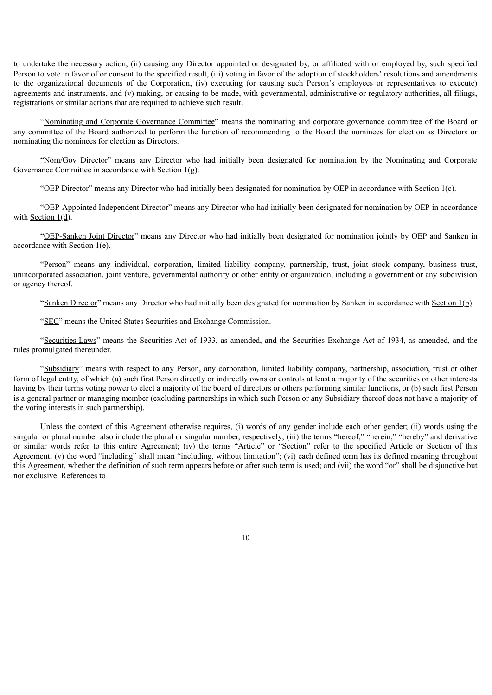to undertake the necessary action, (ii) causing any Director appointed or designated by, or affiliated with or employed by, such specified Person to vote in favor of or consent to the specified result, (iii) voting in favor of the adoption of stockholders' resolutions and amendments to the organizational documents of the Corporation, (iv) executing (or causing such Person's employees or representatives to execute) agreements and instruments, and (v) making, or causing to be made, with governmental, administrative or regulatory authorities, all filings, registrations or similar actions that are required to achieve such result.

"Nominating and Corporate Governance Committee" means the nominating and corporate governance committee of the Board or any committee of the Board authorized to perform the function of recommending to the Board the nominees for election as Directors or nominating the nominees for election as Directors.

"Nom/Gov Director" means any Director who had initially been designated for nomination by the Nominating and Corporate Governance Committee in accordance with Section 1(g).

"OEP Director" means any Director who had initially been designated for nomination by OEP in accordance with Section 1(c).

"OEP-Appointed Independent Director" means any Director who had initially been designated for nomination by OEP in accordance with Section 1(d).

"OEP-Sanken Joint Director" means any Director who had initially been designated for nomination jointly by OEP and Sanken in accordance with Section 1(e).

"Person" means any individual, corporation, limited liability company, partnership, trust, joint stock company, business trust, unincorporated association, joint venture, governmental authority or other entity or organization, including a government or any subdivision or agency thereof.

"Sanken Director" means any Director who had initially been designated for nomination by Sanken in accordance with Section 1(b).

"SEC" means the United States Securities and Exchange Commission.

"Securities Laws" means the Securities Act of 1933, as amended, and the Securities Exchange Act of 1934, as amended, and the rules promulgated thereunder.

"Subsidiary" means with respect to any Person, any corporation, limited liability company, partnership, association, trust or other form of legal entity, of which (a) such first Person directly or indirectly owns or controls at least a majority of the securities or other interests having by their terms voting power to elect a majority of the board of directors or others performing similar functions, or (b) such first Person is a general partner or managing member (excluding partnerships in which such Person or any Subsidiary thereof does not have a majority of the voting interests in such partnership).

Unless the context of this Agreement otherwise requires, (i) words of any gender include each other gender; (ii) words using the singular or plural number also include the plural or singular number, respectively; (iii) the terms "hereof," "herein," "hereby" and derivative or similar words refer to this entire Agreement; (iv) the terms "Article" or "Section" refer to the specified Article or Section of this Agreement; (v) the word "including" shall mean "including, without limitation"; (vi) each defined term has its defined meaning throughout this Agreement, whether the definition of such term appears before or after such term is used; and (vii) the word "or" shall be disjunctive but not exclusive. References to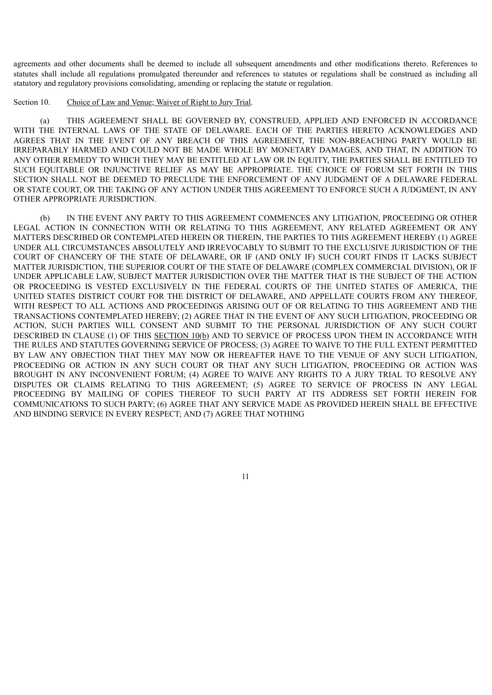agreements and other documents shall be deemed to include all subsequent amendments and other modifications thereto. References to statutes shall include all regulations promulgated thereunder and references to statutes or regulations shall be construed as including all statutory and regulatory provisions consolidating, amending or replacing the statute or regulation.

Section 10. Choice of Law and Venue; Waiver of Right to Jury Trial.

(a) THIS AGREEMENT SHALL BE GOVERNED BY, CONSTRUED, APPLIED AND ENFORCED IN ACCORDANCE WITH THE INTERNAL LAWS OF THE STATE OF DELAWARE. EACH OF THE PARTIES HERETO ACKNOWLEDGES AND AGREES THAT IN THE EVENT OF ANY BREACH OF THIS AGREEMENT, THE NON-BREACHING PARTY WOULD BE IRREPARABLY HARMED AND COULD NOT BE MADE WHOLE BY MONETARY DAMAGES, AND THAT, IN ADDITION TO ANY OTHER REMEDY TO WHICH THEY MAY BE ENTITLED AT LAW OR IN EQUITY, THE PARTIES SHALL BE ENTITLED TO SUCH EQUITABLE OR INJUNCTIVE RELIEF AS MAY BE APPROPRIATE. THE CHOICE OF FORUM SET FORTH IN THIS SECTION SHALL NOT BE DEEMED TO PRECLUDE THE ENFORCEMENT OF ANY JUDGMENT OF A DELAWARE FEDERAL OR STATE COURT, OR THE TAKING OF ANY ACTION UNDER THIS AGREEMENT TO ENFORCE SUCH A JUDGMENT, IN ANY OTHER APPROPRIATE JURISDICTION.

(b) IN THE EVENT ANY PARTY TO THIS AGREEMENT COMMENCES ANY LITIGATION, PROCEEDING OR OTHER LEGAL ACTION IN CONNECTION WITH OR RELATING TO THIS AGREEMENT, ANY RELATED AGREEMENT OR ANY MATTERS DESCRIBED OR CONTEMPLATED HEREIN OR THEREIN, THE PARTIES TO THIS AGREEMENT HEREBY (1) AGREE UNDER ALL CIRCUMSTANCES ABSOLUTELY AND IRREVOCABLY TO SUBMIT TO THE EXCLUSIVE JURISDICTION OF THE COURT OF CHANCERY OF THE STATE OF DELAWARE, OR IF (AND ONLY IF) SUCH COURT FINDS IT LACKS SUBJECT MATTER JURISDICTION, THE SUPERIOR COURT OF THE STATE OF DELAWARE (COMPLEX COMMERCIAL DIVISION), OR IF UNDER APPLICABLE LAW, SUBJECT MATTER JURISDICTION OVER THE MATTER THAT IS THE SUBJECT OF THE ACTION OR PROCEEDING IS VESTED EXCLUSIVELY IN THE FEDERAL COURTS OF THE UNITED STATES OF AMERICA, THE UNITED STATES DISTRICT COURT FOR THE DISTRICT OF DELAWARE, AND APPELLATE COURTS FROM ANY THEREOF, WITH RESPECT TO ALL ACTIONS AND PROCEEDINGS ARISING OUT OF OR RELATING TO THIS AGREEMENT AND THE TRANSACTIONS CONTEMPLATED HEREBY; (2) AGREE THAT IN THE EVENT OF ANY SUCH LITIGATION, PROCEEDING OR ACTION, SUCH PARTIES WILL CONSENT AND SUBMIT TO THE PERSONAL JURISDICTION OF ANY SUCH COURT DESCRIBED IN CLAUSE (1) OF THIS SECTION 10(b) AND TO SERVICE OF PROCESS UPON THEM IN ACCORDANCE WITH THE RULES AND STATUTES GOVERNING SERVICE OF PROCESS; (3) AGREE TO WAIVE TO THE FULL EXTENT PERMITTED BY LAW ANY OBJECTION THAT THEY MAY NOW OR HEREAFTER HAVE TO THE VENUE OF ANY SUCH LITIGATION, PROCEEDING OR ACTION IN ANY SUCH COURT OR THAT ANY SUCH LITIGATION, PROCEEDING OR ACTION WAS BROUGHT IN ANY INCONVENIENT FORUM; (4) AGREE TO WAIVE ANY RIGHTS TO A JURY TRIAL TO RESOLVE ANY DISPUTES OR CLAIMS RELATING TO THIS AGREEMENT; (5) AGREE TO SERVICE OF PROCESS IN ANY LEGAL PROCEEDING BY MAILING OF COPIES THEREOF TO SUCH PARTY AT ITS ADDRESS SET FORTH HEREIN FOR COMMUNICATIONS TO SUCH PARTY; (6) AGREE THAT ANY SERVICE MADE AS PROVIDED HEREIN SHALL BE EFFECTIVE AND BINDING SERVICE IN EVERY RESPECT; AND (7) AGREE THAT NOTHING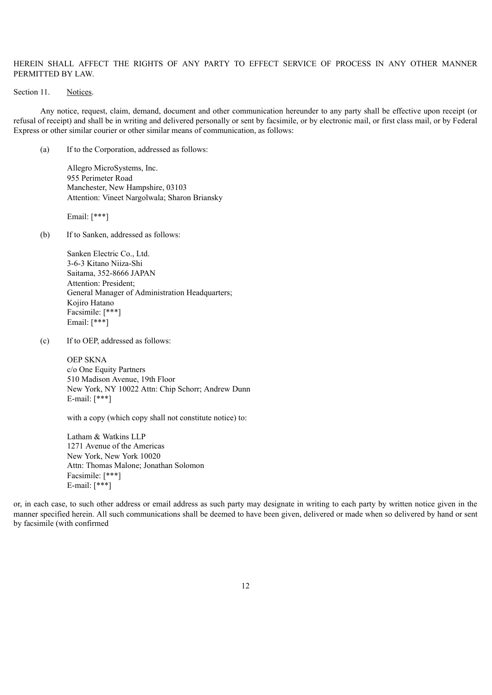# HEREIN SHALL AFFECT THE RIGHTS OF ANY PARTY TO EFFECT SERVICE OF PROCESS IN ANY OTHER MANNER PERMITTED BY LAW.

# Section 11. Notices.

Any notice, request, claim, demand, document and other communication hereunder to any party shall be effective upon receipt (or refusal of receipt) and shall be in writing and delivered personally or sent by facsimile, or by electronic mail, or first class mail, or by Federal Express or other similar courier or other similar means of communication, as follows:

(a) If to the Corporation, addressed as follows:

Allegro MicroSystems, Inc. 955 Perimeter Road Manchester, New Hampshire, 03103 Attention: Vineet Nargolwala; Sharon Briansky

Email: [\*\*\*]

(b) If to Sanken, addressed as follows:

Sanken Electric Co., Ltd. 3-6-3 Kitano Niiza-Shi Saitama, 352-8666 JAPAN Attention: President; General Manager of Administration Headquarters; Kojiro Hatano Facsimile: [\*\*\*] Email: [\*\*\*]

(c) If to OEP, addressed as follows:

OEP SKNA c/o One Equity Partners 510 Madison Avenue, 19th Floor New York, NY 10022 Attn: Chip Schorr; Andrew Dunn E-mail: [\*\*\*]

with a copy (which copy shall not constitute notice) to:

Latham & Watkins LLP 1271 Avenue of the Americas New York, New York 10020 Attn: Thomas Malone; Jonathan Solomon Facsimile: [\*\*\*] E-mail: [\*\*\*]

or, in each case, to such other address or email address as such party may designate in writing to each party by written notice given in the manner specified herein. All such communications shall be deemed to have been given, delivered or made when so delivered by hand or sent by facsimile (with confirmed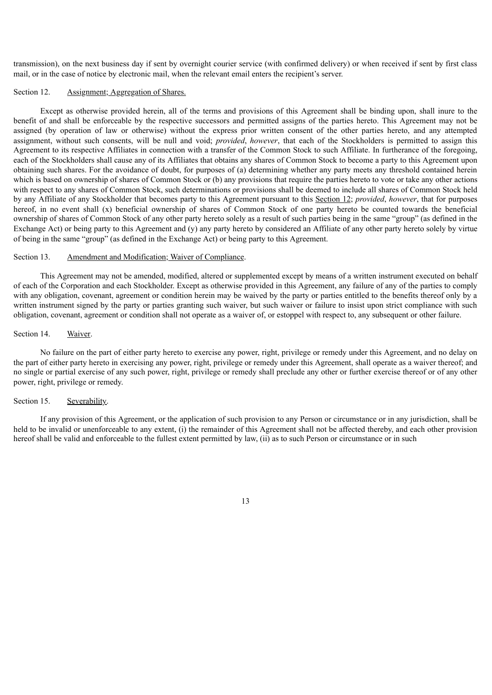transmission), on the next business day if sent by overnight courier service (with confirmed delivery) or when received if sent by first class mail, or in the case of notice by electronic mail, when the relevant email enters the recipient's server.

#### Section 12. Assignment; Aggregation of Shares.

Except as otherwise provided herein, all of the terms and provisions of this Agreement shall be binding upon, shall inure to the benefit of and shall be enforceable by the respective successors and permitted assigns of the parties hereto. This Agreement may not be assigned (by operation of law or otherwise) without the express prior written consent of the other parties hereto, and any attempted assignment, without such consents, will be null and void; *provided*, *however*, that each of the Stockholders is permitted to assign this Agreement to its respective Affiliates in connection with a transfer of the Common Stock to such Affiliate. In furtherance of the foregoing, each of the Stockholders shall cause any of its Affiliates that obtains any shares of Common Stock to become a party to this Agreement upon obtaining such shares. For the avoidance of doubt, for purposes of (a) determining whether any party meets any threshold contained herein which is based on ownership of shares of Common Stock or (b) any provisions that require the parties hereto to vote or take any other actions with respect to any shares of Common Stock, such determinations or provisions shall be deemed to include all shares of Common Stock held by any Affiliate of any Stockholder that becomes party to this Agreement pursuant to this Section 12; *provided*, *however*, that for purposes hereof, in no event shall (x) beneficial ownership of shares of Common Stock of one party hereto be counted towards the beneficial ownership of shares of Common Stock of any other party hereto solely as a result of such parties being in the same "group" (as defined in the Exchange Act) or being party to this Agreement and (y) any party hereto by considered an Affiliate of any other party hereto solely by virtue of being in the same "group" (as defined in the Exchange Act) or being party to this Agreement.

# Section 13. Amendment and Modification; Waiver of Compliance.

This Agreement may not be amended, modified, altered or supplemented except by means of a written instrument executed on behalf of each of the Corporation and each Stockholder. Except as otherwise provided in this Agreement, any failure of any of the parties to comply with any obligation, covenant, agreement or condition herein may be waived by the party or parties entitled to the benefits thereof only by a written instrument signed by the party or parties granting such waiver, but such waiver or failure to insist upon strict compliance with such obligation, covenant, agreement or condition shall not operate as a waiver of, or estoppel with respect to, any subsequent or other failure.

# Section 14. Waiver.

No failure on the part of either party hereto to exercise any power, right, privilege or remedy under this Agreement, and no delay on the part of either party hereto in exercising any power, right, privilege or remedy under this Agreement, shall operate as a waiver thereof; and no single or partial exercise of any such power, right, privilege or remedy shall preclude any other or further exercise thereof or of any other power, right, privilege or remedy.

# Section 15. Severability.

If any provision of this Agreement, or the application of such provision to any Person or circumstance or in any jurisdiction, shall be held to be invalid or unenforceable to any extent, (i) the remainder of this Agreement shall not be affected thereby, and each other provision hereof shall be valid and enforceable to the fullest extent permitted by law, (ii) as to such Person or circumstance or in such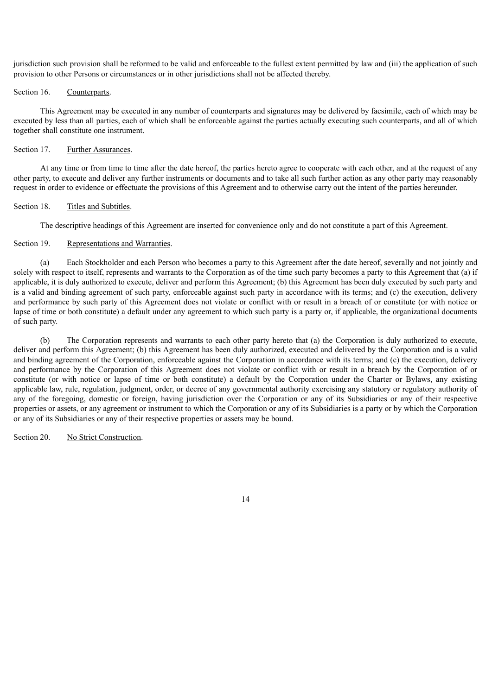jurisdiction such provision shall be reformed to be valid and enforceable to the fullest extent permitted by law and (iii) the application of such provision to other Persons or circumstances or in other jurisdictions shall not be affected thereby.

# Section 16. Counterparts.

This Agreement may be executed in any number of counterparts and signatures may be delivered by facsimile, each of which may be executed by less than all parties, each of which shall be enforceable against the parties actually executing such counterparts, and all of which together shall constitute one instrument.

# Section 17. Further Assurances.

At any time or from time to time after the date hereof, the parties hereto agree to cooperate with each other, and at the request of any other party, to execute and deliver any further instruments or documents and to take all such further action as any other party may reasonably request in order to evidence or effectuate the provisions of this Agreement and to otherwise carry out the intent of the parties hereunder.

# Section 18. Titles and Subtitles.

The descriptive headings of this Agreement are inserted for convenience only and do not constitute a part of this Agreement.

# Section 19. Representations and Warranties.

(a) Each Stockholder and each Person who becomes a party to this Agreement after the date hereof, severally and not jointly and solely with respect to itself, represents and warrants to the Corporation as of the time such party becomes a party to this Agreement that (a) if applicable, it is duly authorized to execute, deliver and perform this Agreement; (b) this Agreement has been duly executed by such party and is a valid and binding agreement of such party, enforceable against such party in accordance with its terms; and (c) the execution, delivery and performance by such party of this Agreement does not violate or conflict with or result in a breach of or constitute (or with notice or lapse of time or both constitute) a default under any agreement to which such party is a party or, if applicable, the organizational documents of such party.

(b) The Corporation represents and warrants to each other party hereto that (a) the Corporation is duly authorized to execute, deliver and perform this Agreement; (b) this Agreement has been duly authorized, executed and delivered by the Corporation and is a valid and binding agreement of the Corporation, enforceable against the Corporation in accordance with its terms; and (c) the execution, delivery and performance by the Corporation of this Agreement does not violate or conflict with or result in a breach by the Corporation of or constitute (or with notice or lapse of time or both constitute) a default by the Corporation under the Charter or Bylaws, any existing applicable law, rule, regulation, judgment, order, or decree of any governmental authority exercising any statutory or regulatory authority of any of the foregoing, domestic or foreign, having jurisdiction over the Corporation or any of its Subsidiaries or any of their respective properties or assets, or any agreement or instrument to which the Corporation or any of its Subsidiaries is a party or by which the Corporation or any of its Subsidiaries or any of their respective properties or assets may be bound.

Section 20. No Strict Construction.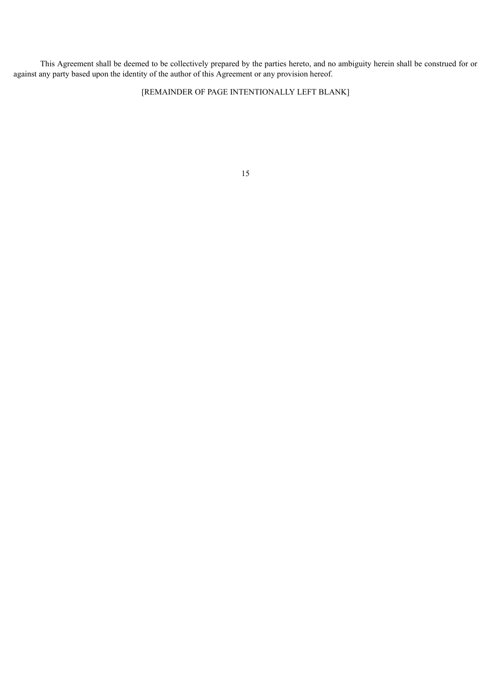This Agreement shall be deemed to be collectively prepared by the parties hereto, and no ambiguity herein shall be construed for or against any party based upon the identity of the author of this Agreement or any provision hereof.

[REMAINDER OF PAGE INTENTIONALLY LEFT BLANK]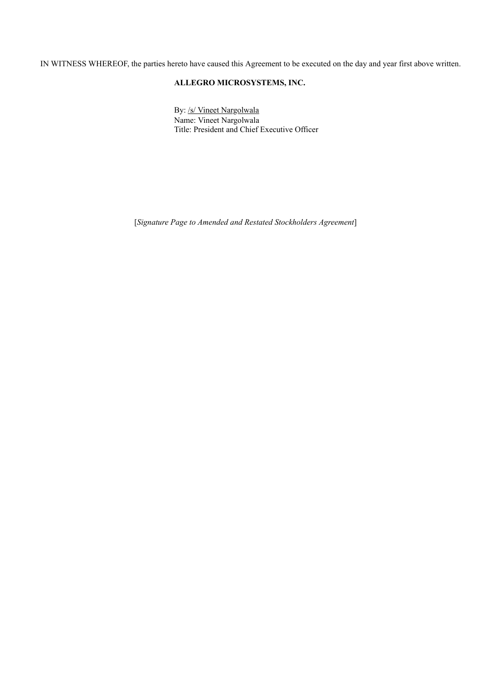IN WITNESS WHEREOF, the parties hereto have caused this Agreement to be executed on the day and year first above written.

# **ALLEGRO MICROSYSTEMS, INC.**

By: /s/ Vineet Nargolwala Name: Vineet Nargolwala Title: President and Chief Executive Officer

[*Signature Page to Amended and Restated Stockholders Agreement*]